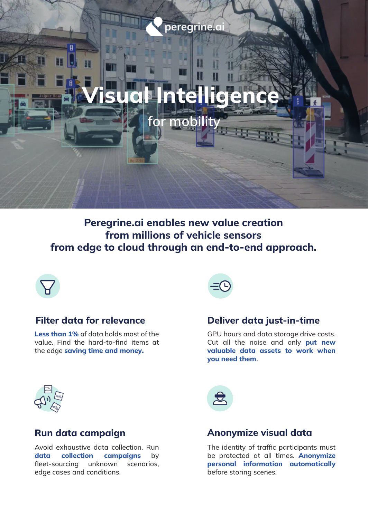# peregrine.ai

# Visual Intelligence

mob

Peregrine.ai enables new value creation from millions of vehicle sensors from edge to cloud through an end-to-end approach.



Less than 1% of data holds most of the value. Find the hard-to-find items at the edge saving time and money.



#### Filter data for relevance Deliver data just-in-time

GPU hours and data storage drive costs. Cut all the noise and only put new valuable data assets to work when you need them.



Avoid exhaustive data collection. Run data collection campaigns by fleet-sourcing unknown scenarios, edge cases and conditions.



## Run data campaign Anonymize visual data

The identity of traffic participants must be protected at all times. **Anonymize** personal information automatically before storing scenes.